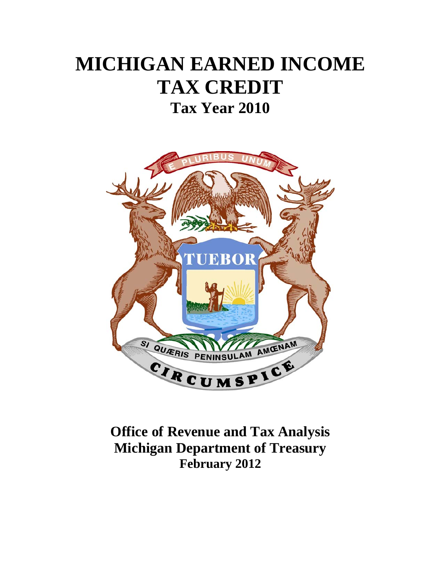# **MICHIGAN EARNED INCOME TAX CREDIT Tax Year 2010**



## **Office of Revenue and Tax Analysis Michigan Department of Treasury February 2012**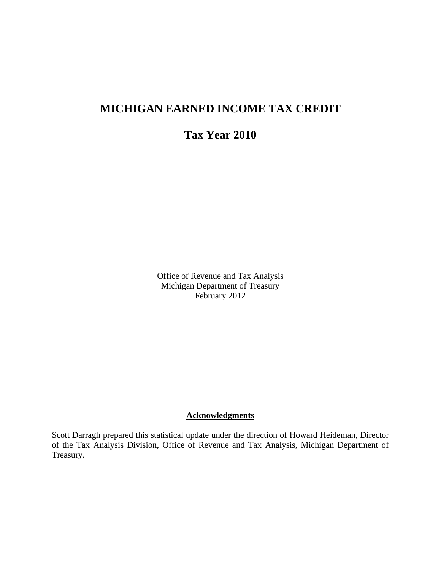### **MICHIGAN EARNED INCOME TAX CREDIT**

**Tax Year 2010** 

Office of Revenue and Tax Analysis Michigan Department of Treasury February 2012

#### **Acknowledgments**

Scott Darragh prepared this statistical update under the direction of Howard Heideman, Director of the Tax Analysis Division, Office of Revenue and Tax Analysis, Michigan Department of Treasury.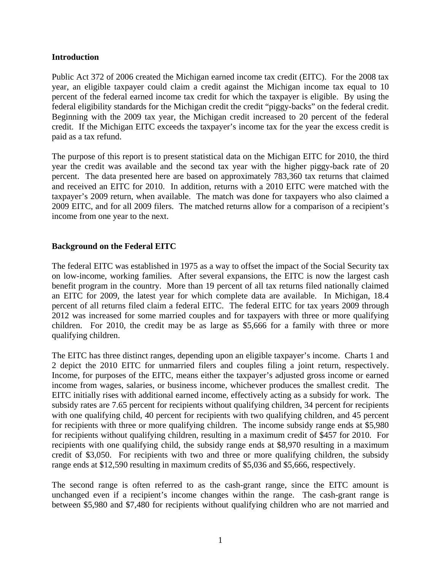#### **Introduction**

Public Act 372 of 2006 created the Michigan earned income tax credit (EITC). For the 2008 tax year, an eligible taxpayer could claim a credit against the Michigan income tax equal to 10 percent of the federal earned income tax credit for which the taxpayer is eligible. By using the federal eligibility standards for the Michigan credit the credit "piggy-backs" on the federal credit. Beginning with the 2009 tax year, the Michigan credit increased to 20 percent of the federal credit. If the Michigan EITC exceeds the taxpayer's income tax for the year the excess credit is paid as a tax refund.

The purpose of this report is to present statistical data on the Michigan EITC for 2010, the third year the credit was available and the second tax year with the higher piggy-back rate of 20 percent. The data presented here are based on approximately 783,360 tax returns that claimed and received an EITC for 2010. In addition, returns with a 2010 EITC were matched with the taxpayer's 2009 return, when available. The match was done for taxpayers who also claimed a 2009 EITC, and for all 2009 filers. The matched returns allow for a comparison of a recipient's income from one year to the next.

#### **Background on the Federal EITC**

The federal EITC was established in 1975 as a way to offset the impact of the Social Security tax on low-income, working families. After several expansions, the EITC is now the largest cash benefit program in the country. More than 19 percent of all tax returns filed nationally claimed an EITC for 2009, the latest year for which complete data are available. In Michigan, 18.4 percent of all returns filed claim a federal EITC. The federal EITC for tax years 2009 through 2012 was increased for some married couples and for taxpayers with three or more qualifying children. For 2010, the credit may be as large as \$5,666 for a family with three or more qualifying children.

The EITC has three distinct ranges, depending upon an eligible taxpayer's income. Charts 1 and 2 depict the 2010 EITC for unmarried filers and couples filing a joint return, respectively. Income, for purposes of the EITC, means either the taxpayer's adjusted gross income or earned income from wages, salaries, or business income, whichever produces the smallest credit. The EITC initially rises with additional earned income, effectively acting as a subsidy for work. The subsidy rates are 7.65 percent for recipients without qualifying children, 34 percent for recipients with one qualifying child, 40 percent for recipients with two qualifying children, and 45 percent for recipients with three or more qualifying children. The income subsidy range ends at \$5,980 for recipients without qualifying children, resulting in a maximum credit of \$457 for 2010. For recipients with one qualifying child, the subsidy range ends at \$8,970 resulting in a maximum credit of \$3,050. For recipients with two and three or more qualifying children, the subsidy range ends at \$12,590 resulting in maximum credits of \$5,036 and \$5,666, respectively.

The second range is often referred to as the cash-grant range, since the EITC amount is unchanged even if a recipient's income changes within the range. The cash-grant range is between \$5,980 and \$7,480 for recipients without qualifying children who are not married and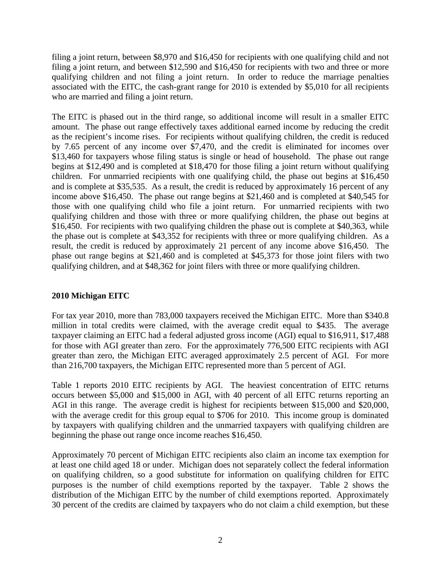filing a joint return, between \$8,970 and \$16,450 for recipients with one qualifying child and not filing a joint return, and between \$12,590 and \$16,450 for recipients with two and three or more qualifying children and not filing a joint return. In order to reduce the marriage penalties associated with the EITC, the cash-grant range for 2010 is extended by \$5,010 for all recipients who are married and filing a joint return.

The EITC is phased out in the third range, so additional income will result in a smaller EITC amount. The phase out range effectively taxes additional earned income by reducing the credit as the recipient's income rises. For recipients without qualifying children, the credit is reduced by 7.65 percent of any income over \$7,470, and the credit is eliminated for incomes over \$13,460 for taxpayers whose filing status is single or head of household. The phase out range begins at \$12,490 and is completed at \$18,470 for those filing a joint return without qualifying children. For unmarried recipients with one qualifying child, the phase out begins at \$16,450 and is complete at \$35,535. As a result, the credit is reduced by approximately 16 percent of any income above \$16,450. The phase out range begins at \$21,460 and is completed at \$40,545 for those with one qualifying child who file a joint return. For unmarried recipients with two qualifying children and those with three or more qualifying children, the phase out begins at \$16,450. For recipients with two qualifying children the phase out is complete at \$40,363, while the phase out is complete at \$43,352 for recipients with three or more qualifying children. As a result, the credit is reduced by approximately 21 percent of any income above \$16,450. The phase out range begins at \$21,460 and is completed at \$45,373 for those joint filers with two qualifying children, and at \$48,362 for joint filers with three or more qualifying children.

#### **2010 Michigan EITC**

For tax year 2010, more than 783,000 taxpayers received the Michigan EITC. More than \$340.8 million in total credits were claimed, with the average credit equal to \$435. The average taxpayer claiming an EITC had a federal adjusted gross income (AGI) equal to \$16,911, \$17,488 for those with AGI greater than zero. For the approximately 776,500 EITC recipients with AGI greater than zero, the Michigan EITC averaged approximately 2.5 percent of AGI. For more than 216,700 taxpayers, the Michigan EITC represented more than 5 percent of AGI.

Table 1 reports 2010 EITC recipients by AGI. The heaviest concentration of EITC returns occurs between \$5,000 and \$15,000 in AGI, with 40 percent of all EITC returns reporting an AGI in this range. The average credit is highest for recipients between \$15,000 and \$20,000, with the average credit for this group equal to \$706 for 2010. This income group is dominated by taxpayers with qualifying children and the unmarried taxpayers with qualifying children are beginning the phase out range once income reaches \$16,450.

Approximately 70 percent of Michigan EITC recipients also claim an income tax exemption for at least one child aged 18 or under. Michigan does not separately collect the federal information on qualifying children, so a good substitute for information on qualifying children for EITC purposes is the number of child exemptions reported by the taxpayer. Table 2 shows the distribution of the Michigan EITC by the number of child exemptions reported. Approximately 30 percent of the credits are claimed by taxpayers who do not claim a child exemption, but these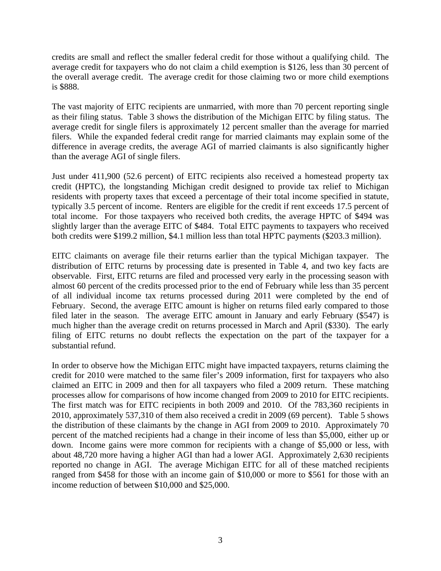credits are small and reflect the smaller federal credit for those without a qualifying child. The average credit for taxpayers who do not claim a child exemption is \$126, less than 30 percent of the overall average credit. The average credit for those claiming two or more child exemptions is \$888.

The vast majority of EITC recipients are unmarried, with more than 70 percent reporting single as their filing status. Table 3 shows the distribution of the Michigan EITC by filing status. The average credit for single filers is approximately 12 percent smaller than the average for married filers. While the expanded federal credit range for married claimants may explain some of the difference in average credits, the average AGI of married claimants is also significantly higher than the average AGI of single filers.

Just under 411,900 (52.6 percent) of EITC recipients also received a homestead property tax credit (HPTC), the longstanding Michigan credit designed to provide tax relief to Michigan residents with property taxes that exceed a percentage of their total income specified in statute, typically 3.5 percent of income. Renters are eligible for the credit if rent exceeds 17.5 percent of total income. For those taxpayers who received both credits, the average HPTC of \$494 was slightly larger than the average EITC of \$484. Total EITC payments to taxpayers who received both credits were \$199.2 million, \$4.1 million less than total HPTC payments (\$203.3 million).

EITC claimants on average file their returns earlier than the typical Michigan taxpayer. The distribution of EITC returns by processing date is presented in Table 4, and two key facts are observable. First, EITC returns are filed and processed very early in the processing season with almost 60 percent of the credits processed prior to the end of February while less than 35 percent of all individual income tax returns processed during 2011 were completed by the end of February. Second, the average EITC amount is higher on returns filed early compared to those filed later in the season. The average EITC amount in January and early February (\$547) is much higher than the average credit on returns processed in March and April (\$330). The early filing of EITC returns no doubt reflects the expectation on the part of the taxpayer for a substantial refund.

In order to observe how the Michigan EITC might have impacted taxpayers, returns claiming the credit for 2010 were matched to the same filer's 2009 information, first for taxpayers who also claimed an EITC in 2009 and then for all taxpayers who filed a 2009 return. These matching processes allow for comparisons of how income changed from 2009 to 2010 for EITC recipients. The first match was for EITC recipients in both 2009 and 2010. Of the 783,360 recipients in 2010, approximately 537,310 of them also received a credit in 2009 (69 percent). Table 5 shows the distribution of these claimants by the change in AGI from 2009 to 2010. Approximately 70 percent of the matched recipients had a change in their income of less than \$5,000, either up or down. Income gains were more common for recipients with a change of \$5,000 or less, with about 48,720 more having a higher AGI than had a lower AGI. Approximately 2,630 recipients reported no change in AGI. The average Michigan EITC for all of these matched recipients ranged from \$458 for those with an income gain of \$10,000 or more to \$561 for those with an income reduction of between \$10,000 and \$25,000.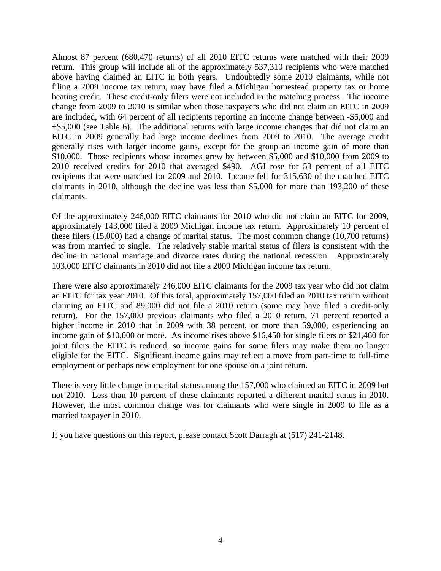Almost 87 percent (680,470 returns) of all 2010 EITC returns were matched with their 2009 return. This group will include all of the approximately 537,310 recipients who were matched above having claimed an EITC in both years. Undoubtedly some 2010 claimants, while not filing a 2009 income tax return, may have filed a Michigan homestead property tax or home heating credit. These credit-only filers were not included in the matching process. The income change from 2009 to 2010 is similar when those taxpayers who did not claim an EITC in 2009 are included, with 64 percent of all recipients reporting an income change between -\$5,000 and +\$5,000 (see Table 6). The additional returns with large income changes that did not claim an EITC in 2009 generally had large income declines from 2009 to 2010. The average credit generally rises with larger income gains, except for the group an income gain of more than \$10,000. Those recipients whose incomes grew by between \$5,000 and \$10,000 from 2009 to 2010 received credits for 2010 that averaged \$490. AGI rose for 53 percent of all EITC recipients that were matched for 2009 and 2010. Income fell for 315,630 of the matched EITC claimants in 2010, although the decline was less than \$5,000 for more than 193,200 of these claimants.

Of the approximately 246,000 EITC claimants for 2010 who did not claim an EITC for 2009, approximately 143,000 filed a 2009 Michigan income tax return. Approximately 10 percent of these filers (15,000) had a change of marital status. The most common change (10,700 returns) was from married to single. The relatively stable marital status of filers is consistent with the decline in national marriage and divorce rates during the national recession. Approximately 103,000 EITC claimants in 2010 did not file a 2009 Michigan income tax return.

There were also approximately 246,000 EITC claimants for the 2009 tax year who did not claim an EITC for tax year 2010. Of this total, approximately 157,000 filed an 2010 tax return without claiming an EITC and 89,000 did not file a 2010 return (some may have filed a credit-only return). For the 157,000 previous claimants who filed a 2010 return, 71 percent reported a higher income in 2010 that in 2009 with 38 percent, or more than 59,000, experiencing an income gain of \$10,000 or more. As income rises above \$16,450 for single filers or \$21,460 for joint filers the EITC is reduced, so income gains for some filers may make them no longer eligible for the EITC. Significant income gains may reflect a move from part-time to full-time employment or perhaps new employment for one spouse on a joint return.

There is very little change in marital status among the 157,000 who claimed an EITC in 2009 but not 2010. Less than 10 percent of these claimants reported a different marital status in 2010. However, the most common change was for claimants who were single in 2009 to file as a married taxpayer in 2010.

If you have questions on this report, please contact Scott Darragh at (517) 241-2148.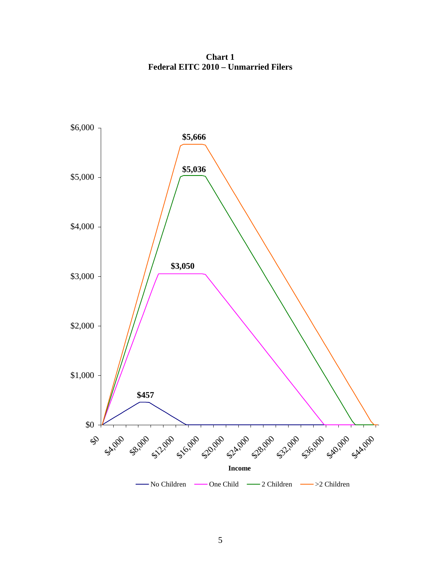**Chart 1 Federal EITC 2010 – Unmarried Filers** 

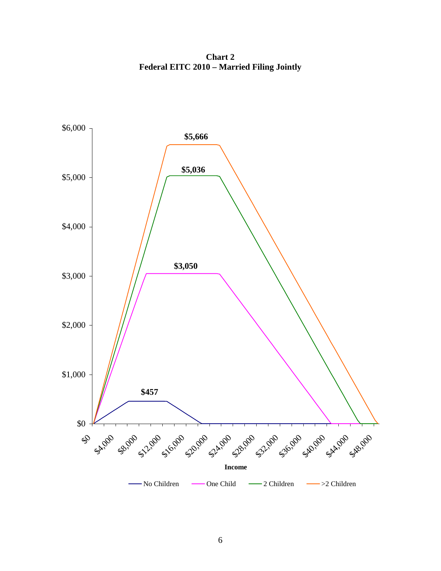**Chart 2 Federal EITC 2010 – Married Filing Jointly** 

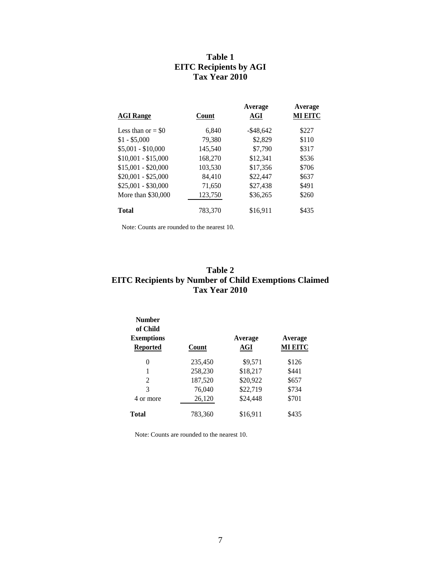#### **Table 1 EITC Recipients by AGI Tax Year 2010**

| <b>AGI</b> Range    | Count   | Average<br>AGI | Average<br><b>MI EITC</b> |
|---------------------|---------|----------------|---------------------------|
| Less than or $= $0$ | 6.840   | $-$ \$48.642   | \$227                     |
| $$1 - $5,000$       | 79,380  | \$2,829        | \$110                     |
| $$5,001 - $10,000$  | 145,540 | \$7,790        | \$317                     |
| $$10,001 - $15,000$ | 168,270 | \$12,341       | \$536                     |
| $$15,001 - $20,000$ | 103,530 | \$17,356       | \$706                     |
| $$20,001 - $25,000$ | 84.410  | \$22,447       | \$637                     |
| $$25,001 - $30,000$ | 71,650  | \$27.438       | \$491                     |
| More than \$30,000  | 123,750 | \$36,265       | \$260                     |
| <b>Total</b>        | 783.370 | \$16.911       | \$435                     |

Note: Counts are rounded to the nearest 10.

#### **Table 2 EITC Recipients by Number of Child Exemptions Claimed Tax Year 2010**

| <b>Number</b><br>of Child<br><b>Exemptions</b><br><b>Reported</b> | Count   | Average<br><b>AGI</b> | Average<br><b>MI EITC</b> |
|-------------------------------------------------------------------|---------|-----------------------|---------------------------|
| 0                                                                 | 235,450 | \$9,571               | \$126                     |
| 1                                                                 | 258,230 | \$18,217              | \$441                     |
| 2                                                                 | 187,520 | \$20,922              | \$657                     |
| 3                                                                 | 76,040  | \$22,719              | \$734                     |
| 4 or more                                                         | 26,120  | \$24,448              | \$701                     |
| <b>Total</b>                                                      | 783,360 | \$16,911              | \$435                     |

Note: Counts are rounded to the nearest 10.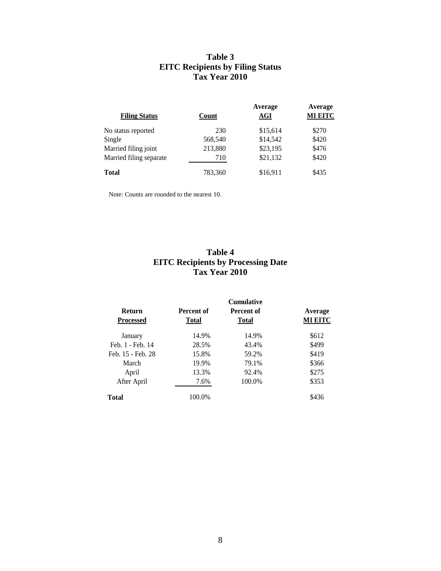#### **Table 3 EITC Recipients by Filing Status Tax Year 2010**

| <b>Filing Status</b>    | <b>Count</b> | Average<br>AGI | Average<br><b>MI EITC</b> |
|-------------------------|--------------|----------------|---------------------------|
| No status reported      | 230          | \$15,614       | \$270                     |
| Single                  | 568,540      | \$14,542       | \$420                     |
| Married filing joint    | 213,880      | \$23,195       | \$476                     |
| Married filing separate | 710          | \$21,132       | \$420                     |
| <b>Total</b>            | 783,360      | \$16,911       | \$435                     |

Note: Counts are rounded to the nearest 10.

#### **Table 4 EITC Recipients by Processing Date Tax Year 2010**

| <b>Return</b>     | Percent of   | Percent of   | Average        |
|-------------------|--------------|--------------|----------------|
| <b>Processed</b>  | <b>Total</b> | <b>Total</b> | <b>MI EITC</b> |
| January           | 14.9%        | 14.9%        | \$612          |
| Feb. 1 - Feb. 14  | 28.5%        | 43.4%        | \$499          |
| Feb. 15 - Feb. 28 | 15.8%        | 59.2%        | \$419          |
| March             | 19.9%        | 79.1%        | \$366          |
| April             | 13.3%        | 92.4%        | \$275          |
| After April       | 7.6%         | 100.0%       | \$353          |
| Total             | 100.0%       |              | \$436          |